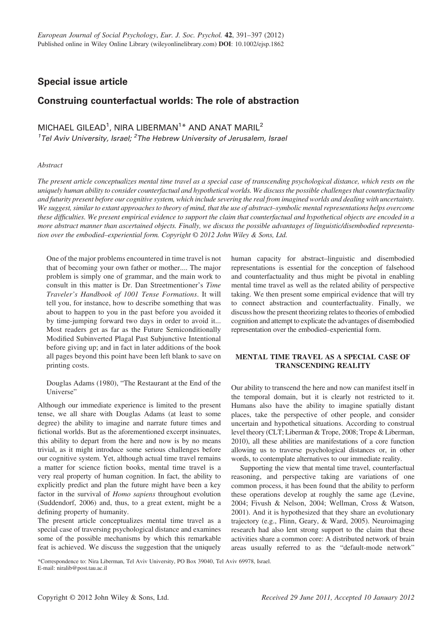# Special issue article

# Construing counterfactual worlds: The role of abstraction

MICHAEL GILEAD<sup>1</sup>, NIRA LIBERMAN<sup>1\*</sup> AND ANAT MARIL<sup>2</sup>

 $17$ el Aviv University, Israel;  $27$ he Hebrew University of Jerusalem, Israel

## Abstract

The present article conceptualizes mental time travel as a special case of transcending psychological distance, which rests on the uniquely human ability to consider counterfactual and hypothetical worlds. We discuss the possible challenges that counterfactuality and futurity present before our cognitive system, which include severing the real from imagined worlds and dealing with uncertainty. We suggest, similar to extant approaches to theory of mind, that the use of abstract–symbolic mental representations helps overcome these difficulties. We present empirical evidence to support the claim that counterfactual and hypothetical objects are encoded in a more abstract manner than ascertained objects. Finally, we discuss the possible advantages of linguistic/disembodied representation over the embodied–experiential form. Copyright © 2012 John Wiley & Sons, Ltd.

One of the major problems encountered in time travel is not that of becoming your own father or mother.... The major problem is simply one of grammar, and the main work to consult in this matter is Dr. Dan Streetmentioner's Time Traveler's Handbook of 1001 Tense Formations. It will tell you, for instance, how to describe something that was about to happen to you in the past before you avoided it by time-jumping forward two days in order to avoid it... Most readers get as far as the Future Semiconditionally Modified Subinverted Plagal Past Subjunctive Intentional before giving up; and in fact in later additions of the book all pages beyond this point have been left blank to save on printing costs.

Douglas Adams (1980), "The Restaurant at the End of the Universe"

Although our immediate experience is limited to the present tense, we all share with Douglas Adams (at least to some degree) the ability to imagine and narrate future times and fictional worlds. But as the aforementioned excerpt insinuates, this ability to depart from the here and now is by no means trivial, as it might introduce some serious challenges before our cognitive system. Yet, although actual time travel remains a matter for science fiction books, mental time travel is a very real property of human cognition. In fact, the ability to explicitly predict and plan the future might have been a key factor in the survival of Homo sapiens throughout evolution (Suddendorf, 2006) and, thus, to a great extent, might be a defining property of humanity.

The present article conceptualizes mental time travel as a special case of traversing psychological distance and examines some of the possible mechanisms by which this remarkable feat is achieved. We discuss the suggestion that the uniquely

human capacity for abstract–linguistic and disembodied representations is essential for the conception of falsehood and counterfactuality and thus might be pivotal in enabling mental time travel as well as the related ability of perspective taking. We then present some empirical evidence that will try to connect abstraction and counterfactuality. Finally, we discuss how the present theorizing relates to theories of embodied cognition and attempt to explicate the advantages of disembodied representation over the embodied–experiential form.

## MENTAL TIME TRAVEL AS A SPECIAL CASE OF TRANSCENDING REALITY

Our ability to transcend the here and now can manifest itself in the temporal domain, but it is clearly not restricted to it. Humans also have the ability to imagine spatially distant places, take the perspective of other people, and consider uncertain and hypothetical situations. According to construal level theory (CLT; Liberman & Trope, 2008; Trope & Liberman, 2010), all these abilities are manifestations of a core function allowing us to traverse psychological distances or, in other words, to contemplate alternatives to our immediate reality.

Supporting the view that mental time travel, counterfactual reasoning, and perspective taking are variations of one common process, it has been found that the ability to perform these operations develop at roughly the same age (Levine, 2004; Fivush & Nelson, 2004; Wellman, Cross & Watson, 2001). And it is hypothesized that they share an evolutionary trajectory (e.g., Flinn, Geary, & Ward, 2005). Neuroimaging research had also lent strong support to the claim that these activities share a common core: A distributed network of brain areas usually referred to as the "default-mode network"

\*Correspondence to: Nira Liberman, Tel Aviv University, PO Box 39040, Tel Aviv 69978, Israel. E-mail: niralib@post.tau.ac.il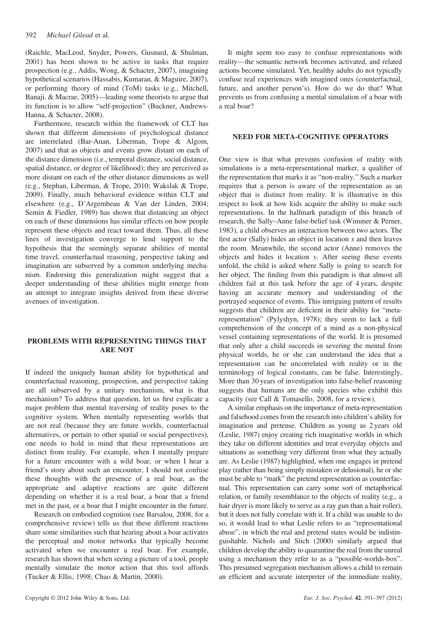(Raichle, MacLeod, Snyder, Powers, Gusnard, & Shulman, 2001) has been shown to be active in tasks that require prospection (e.g., Addis, Wong, & Schacter, 2007), imagining hypothetical scenarios (Hassabis, Kumaran, & Maguire, 2007), or performing theory of mind (ToM) tasks (e.g., Mitchell, Banaji, & Macrae, 2005)—leading some theorists to argue that its function is to allow "self-projection" (Buckner, Andrews-Hanna, & Schacter, 2008).

Furthermore, research within the framework of CLT has shown that different dimensions of psychological distance are interrelated (Bar-Anan, Liberman, Trope & Algom, 2007) and that as objects and events grow distant on each of the distance dimension (i.e., temporal distance, social distance, spatial distance, or degree of likelihood); they are perceived as more distant on each of the other distance dimensions as well (e.g., Stephan, Liberman, & Trope, 2010; Wakslak & Trope, 2009). Finally, much behavioral evidence within CLT and elsewhere (e.g., D'Argembeau & Van der Linden, 2004; Semin & Fiedler, 1989) has shown that distancing an object on each of these dimensions has similar effects on how people represent these objects and react toward them. Thus, all these lines of investigation converge to lend support to the hypothesis that the seemingly separate abilities of mental time travel, counterfactual reasoning, perspective taking and imagination are subserved by a common underlying mechanism. Endorsing this generalization might suggest that a deeper understanding of these abilities might emerge from an attempt to integrate insights derived from these diverse avenues of investigation.

## PROBLEMS WITH REPRESENTING THINGS THAT ARE NOT

If indeed the uniquely human ability for hypothetical and counterfactual reasoning, prospection, and perspective taking are all subserved by a unitary mechanism, what is that mechanism? To address that question, let us first explicate a major problem that mental traversing of reality poses to the cognitive system. When mentally representing worlds that are not real (because they are future worlds, counterfactual alternatives, or pertain to other spatial or social perspectives), one needs to hold in mind that these representations are distinct from reality. For example, when I mentally prepare for a future encounter with a wild boar, or when I hear a friend's story about such an encounter, I should not confuse these thoughts with the presence of a real boar, as the appropriate and adaptive reactions are quite different depending on whether it is a real boar, a boar that a friend met in the past, or a boar that I might encounter in the future.

Research on embodied cognition (see Barsalou, 2008, for a comprehensive review) tells us that these different reactions share some similarities such that hearing about a boar activates the perceptual and motor networks that typically become activated when we encounter a real boar. For example, research has shown that when seeing a picture of a tool, people mentally simulate the motor action that this tool affords (Tucker & Ellis, 1998; Chao & Martin, 2000).

It might seem too easy to confuse representations with reality—the semantic network becomes activated, and related actions become simulated. Yet, healthy adults do not typically confuse real experiences with imagined ones (counterfactual, future, and another person's). How do we do that? What prevents us from confusing a mental simulation of a boar with a real boar?

#### NEED FOR META-COGNITIVE OPERATORS

One view is that what prevents confusion of reality with simulations is a meta-representational marker, a qualifier of the representation that marks it as "non-reality." Such a marker requires that a person is aware of the representation as an object that is distinct from reality. It is illustrative in this respect to look at how kids acquire the ability to make such representations. In the hallmark paradigm of this branch of research, the Sally–Anne false-belief task (Wimmer & Perner, 1983), a child observes an interaction between two actors. The first actor (Sally) hides an object in location  $x$  and then leaves the room. Meanwhile, the second actor (Anne) removes the objects and hides it location y. After seeing these events unfold, the child is asked where Sally is going to search for her object. The finding from this paradigm is that almost all children fail at this task before the age of 4 years, despite having an accurate memory and understanding of the portrayed sequence of events. This intriguing pattern of results suggests that children are deficient in their ability for "metarepresentation" (Pylyshyn, 1978); they seem to lack a full comprehension of the concept of a mind as a non-physical vessel containing representations of the world. It is presumed that only after a child succeeds in severing the mental from physical worlds, he or she can understand the idea that a representation can be uncorrelated with reality or in the terminology of logical constants, can be false. Interestingly, More than 30 years of investigation into false-belief reasoning suggests that humans are the only species who exhibit this capacity (see Call & Tomasello, 2008, for a review).

A similar emphasis on the importance of meta-representation and falsehood comes from the research into children's ability for imagination and pretense. Children as young as 2 years old (Leslie, 1987) enjoy creating rich imaginative worlds in which they take on different identities and treat everyday objects and situations as something very different from what they actually are. As Leslie (1987) highlighted, when one engages in pretend play (rather than being simply mistaken or delusional), he or she must be able to "mark" the pretend representation as counterfactual. This representation can carry some sort of metaphorical relation, or family resemblance to the objects of reality (e.g., a hair dryer is more likely to serve as a ray gun than a hair roller), but it does not fully correlate with it. If a child was unable to do so, it would lead to what Leslie refers to as "representational abuse", in which the real and pretend states would be indistinguishable. Nichols and Stich (2000) similarly argued that children develop the ability to quarantine the real from the unreal using a mechanism they refer to as a "possible-worlds-box". This presumed segregation mechanism allows a child to remain an efficient and accurate interpreter of the immediate reality,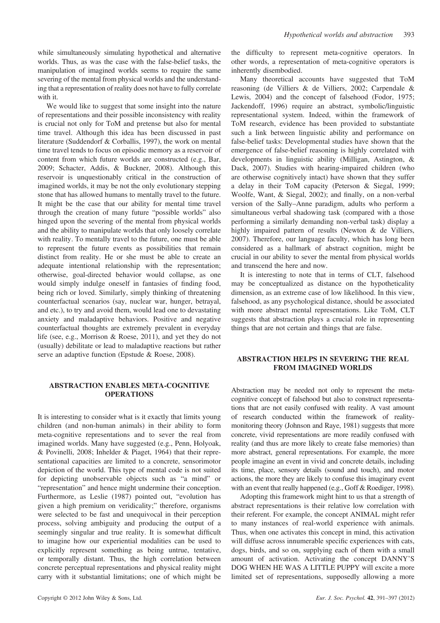while simultaneously simulating hypothetical and alternative worlds. Thus, as was the case with the false-belief tasks, the manipulation of imagined worlds seems to require the same severing of the mental from physical worlds and the understanding that a representation of reality does not have to fully correlate with it.

We would like to suggest that some insight into the nature of representations and their possible inconsistency with reality is crucial not only for ToM and pretense but also for mental time travel. Although this idea has been discussed in past literature (Suddendorf & Corballis, 1997), the work on mental time travel tends to focus on episodic memory as a reservoir of content from which future worlds are constructed (e.g., Bar, 2009; Schacter, Addis, & Buckner, 2008). Although this reservoir is unquestionably critical in the construction of imagined worlds, it may be not the only evolutionary stepping stone that has allowed humans to mentally travel to the future. It might be the case that our ability for mental time travel through the creation of many future "possible worlds" also hinged upon the severing of the mental from physical worlds and the ability to manipulate worlds that only loosely correlate with reality. To mentally travel to the future, one must be able to represent the future events as possibilities that remain distinct from reality. He or she must be able to create an adequate intentional relationship with the representation; otherwise, goal-directed behavior would collapse, as one would simply indulge oneself in fantasies of finding food, being rich or loved. Similarly, simply thinking of threatening counterfactual scenarios (say, nuclear war, hunger, betrayal, and etc.), to try and avoid them, would lead one to devastating anxiety and maladaptive behaviors. Positive and negative counterfactual thoughts are extremely prevalent in everyday life (see, e.g., Morrison & Roese, 2011), and yet they do not (usually) debilitate or lead to maladaptive reactions but rather serve an adaptive function (Epstude & Roese, 2008).

## ABSTRACTION ENABLES META-COGNITIVE OPERATIONS

It is interesting to consider what is it exactly that limits young children (and non-human animals) in their ability to form meta-cognitive representations and to sever the real from imagined worlds. Many have suggested (e.g., Penn, Holyoak, & Povinelli, 2008; Inhelder & Piaget, 1964) that their representational capacities are limited to a concrete, sensorimotor depiction of the world. This type of mental code is not suited for depicting unobservable objects such as "a mind" or "representation" and hence might undermine their conception. Furthermore, as Leslie (1987) pointed out, "evolution has given a high premium on veridicality;" therefore, organisms were selected to be fast and unequivocal in their perception process, solving ambiguity and producing the output of a seemingly singular and true reality. It is somewhat difficult to imagine how our experiential modalities can be used to explicitly represent something as being untrue, tentative, or temporally distant. Thus, the high correlation between concrete perceptual representations and physical reality might carry with it substantial limitations; one of which might be the difficulty to represent meta-cognitive operators. In other words, a representation of meta-cognitive operators is inherently disembodied.

Many theoretical accounts have suggested that ToM reasoning (de Villiers & de Villiers, 2002; Carpendale & Lewis, 2004) and the concept of falsehood (Fodor, 1975; Jackendoff, 1996) require an abstract, symbolic/linguistic representational system. Indeed, within the framework of ToM research, evidence has been provided to substantiate such a link between linguistic ability and performance on false-belief tasks: Developmental studies have shown that the emergence of false-belief reasoning is highly correlated with developments in linguistic ability (Milligan, Astington, & Dack, 2007). Studies with hearing-impaired children (who are otherwise cognitively intact) have shown that they suffer a delay in their ToM capacity (Peterson & Siegal, 1999; Woolfe, Want, & Siegal, 2002); and finally, on a non-verbal version of the Sally–Anne paradigm, adults who perform a simultaneous verbal shadowing task (compared with a those performing a similarly demanding non-verbal task) display a highly impaired pattern of results (Newton & de Villiers, 2007). Therefore, our language faculty, which has long been considered as a hallmark of abstract cognition, might be crucial in our ability to sever the mental from physical worlds and transcend the here and now.

It is interesting to note that in terms of CLT, falsehood may be conceptualized as distance on the hypotheticality dimension, as an extreme case of low likelihood. In this view, falsehood, as any psychological distance, should be associated with more abstract mental representations. Like ToM, CLT suggests that abstraction plays a crucial role in representing things that are not certain and things that are false.

## ABSTRACTION HELPS IN SEVERING THE REAL FROM IMAGINED WORLDS

Abstraction may be needed not only to represent the metacognitive concept of falsehood but also to construct representations that are not easily confused with reality. A vast amount of research conducted within the framework of realitymonitoring theory (Johnson and Raye, 1981) suggests that more concrete, vivid representations are more readily confused with reality (and thus are more likely to create false memories) than more abstract, general representations. For example, the more people imagine an event in vivid and concrete details, including its time, place, sensory details (sound and touch), and motor actions, the more they are likely to confuse this imaginary event with an event that really happened (e.g., Goff & Roediger, 1998).

Adopting this framework might hint to us that a strength of abstract representations is their relative low correlation with their referent. For example, the concept ANIMAL might refer to many instances of real-world experience with animals. Thus, when one activates this concept in mind, this activation will diffuse across innumerable specific experiences with cats, dogs, birds, and so on, supplying each of them with a small amount of activation. Activating the concept DANNY'S DOG WHEN HE WAS A LITTLE PUPPY will excite a more limited set of representations, supposedly allowing a more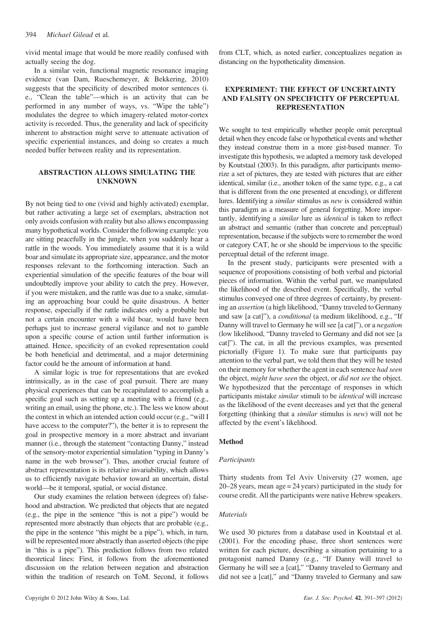vivid mental image that would be more readily confused with actually seeing the dog.

In a similar vein, functional magnetic resonance imaging evidence (van Dam, Rueschemeyer, & Bekkering, 2010) suggests that the specificity of described motor sentences (i. e., "Clean the table"—which is an activity that can be performed in any number of ways, vs. "Wipe the table") modulates the degree to which imagery-related motor-cortex activity is recorded. Thus, the generality and lack of specificity inherent to abstraction might serve to attenuate activation of specific experiential instances, and doing so creates a much needed buffer between reality and its representation.

## ABSTRACTION ALLOWS SIMULATING THE UNKNOWN

By not being tied to one (vivid and highly activated) exemplar, but rather activating a large set of exemplars, abstraction not only avoids confusion with reality but also allows encompassing many hypothetical worlds. Consider the following example: you are sitting peacefully in the jungle, when you suddenly hear a rattle in the woods. You immediately assume that it is a wild boar and simulate its appropriate size, appearance, and the motor responses relevant to the forthcoming interaction. Such an experiential simulation of the specific features of the boar will undoubtedly improve your ability to catch the prey. However, if you were mistaken, and the rattle was due to a snake, simulating an approaching boar could be quite disastrous. A better response, especially if the rattle indicates only a probable but not a certain encounter with a wild boar, would have been perhaps just to increase general vigilance and not to gamble upon a specific course of action until further information is attained. Hence, specificity of an evoked representation could be both beneficial and detrimental, and a major determining factor could be the amount of information at hand.

A similar logic is true for representations that are evoked intrinsically, as in the case of goal pursuit. There are many physical experiences that can be recapitulated to accomplish a specific goal such as setting up a meeting with a friend (e.g., writing an email, using the phone, etc.). The less we know about the context in which an intended action could occur (e.g., "will I have access to the computer?"), the better it is to represent the goal in prospective memory in a more abstract and invariant manner (i.e., through the statement "contacting Danny," instead of the sensory-motor experiential simulation "typing in Danny's name in the web browser"). Thus, another crucial feature of abstract representation is its relative invariability, which allows us to efficiently navigate behavior toward an uncertain, distal world—be it temporal, spatial, or social distance.

Our study examines the relation between (degrees of) falsehood and abstraction. We predicted that objects that are negated (e.g., the pipe in the sentence "this is not a pipe") would be represented more abstractly than objects that are probable (e.g., the pipe in the sentence "this might be a pipe"), which, in turn, will be represented more abstractly than asserted objects (the pipe in "this is a pipe"). This prediction follows from two related theoretical lines: First, it follows from the aforementioned discussion on the relation between negation and abstraction within the tradition of research on ToM. Second, it follows

from CLT, which, as noted earlier, conceptualizes negation as distancing on the hypotheticality dimension.

# EXPERIMENT: THE EFFECT OF UNCERTAINTY AND FALSITY ON SPECIFICITY OF PERCEPTUAL REPRESENTATION

We sought to test empirically whether people omit perceptual detail when they encode false or hypothetical events and whether they instead construe them in a more gist-based manner. To investigate this hypothesis, we adapted a memory task developed by Koutstaal (2003). In this paradigm, after participants memorize a set of pictures, they are tested with pictures that are either identical, similar (i.e., another token of the same type, e.g., a cat that is different from the one presented at encoding), or different lures. Identifying a similar stimulus as new is considered within this paradigm as a measure of general forgetting. More importantly, identifying a similar lure as identical is taken to reflect an abstract and semantic (rather than concrete and perceptual) representation, because if the subjects were to remember the word or category CAT, he or she should be impervious to the specific perceptual detail of the referent image.

In the present study, participants were presented with a sequence of propositions consisting of both verbal and pictorial pieces of information. Within the verbal part, we manipulated the likelihood of the described event. Specifically, the verbal stimulus conveyed one of three degrees of certainty, by presenting an assertion (a high likelihood, "Danny traveled to Germany and saw [a cat]"), a conditional (a medium likelihood, e.g., "If Danny will travel to Germany he will see [a cat]"), or a *negation* (low likelihood, "Danny traveled to Germany and did not see [a cat]"). The cat, in all the previous examples, was presented pictorially (Figure 1). To make sure that participants pay attention to the verbal part, we told them that they will be tested on their memory for whether the agent in each sentence had seen the object, might have seen the object, or did not see the object. We hypothesized that the percentage of responses in which participants mistake similar stimuli to be identical will increase as the likelihood of the event decreases and yet that the general forgetting (thinking that a similar stimulus is new) will not be affected by the event's likelihood.

#### Method

#### Participants

Thirty students from Tel Aviv University (27 women, age 20–28 years, mean age = 24 years) participated in the study for course credit. All the participants were native Hebrew speakers.

## **Materials**

We used 30 pictures from a database used in Koutstaal et al. (2001). For the encoding phase, three short sentences were written for each picture, describing a situation pertaining to a protagonist named Danny (e.g., "If Danny will travel to Germany he will see a [cat]," "Danny traveled to Germany and did not see a [cat]," and "Danny traveled to Germany and saw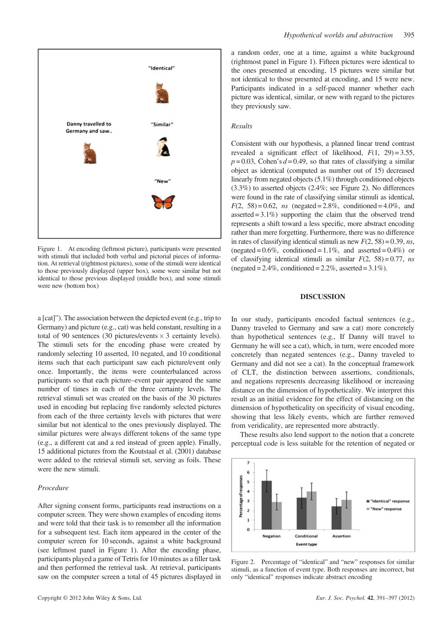

Figure 1. At encoding (leftmost picture), participants were presented with stimuli that included both verbal and pictorial pieces of information. At retrieval (rightmost pictures), some of the stimuli were identical to those previously displayed (upper box), some were similar but not identical to those previous displayed (middle box), and some stimuli were new (bottom box)

a [cat]"). The association between the depicted event (e.g., trip to Germany) and picture (e.g., cat) was held constant, resulting in a total of 90 sentences (30 pictures/events  $\times$  3 certainty levels). The stimuli sets for the encoding phase were created by randomly selecting 10 asserted, 10 negated, and 10 conditional items such that each participant saw each picture/event only once. Importantly, the items were counterbalanced across participants so that each picture–event pair appeared the same number of times in each of the three certainty levels. The retrieval stimuli set was created on the basis of the 30 pictures used in encoding but replacing five randomly selected pictures from each of the three certainty levels with pictures that were similar but not identical to the ones previously displayed. The similar pictures were always different tokens of the same type (e.g., a different cat and a red instead of green apple). Finally, 15 additional pictures from the Koutstaal et al. (2001) database were added to the retrieval stimuli set, serving as foils. These were the new stimuli.

#### Procedure

After signing consent forms, participants read instructions on a computer screen. They were shown examples of encoding items and were told that their task is to remember all the information for a subsequent test. Each item appeared in the center of the computer screen for 10 seconds, against a white background (see leftmost panel in Figure 1). After the encoding phase, participants played a game of Tetris for 10 minutes as a filler task and then performed the retrieval task. At retrieval, participants saw on the computer screen a total of 45 pictures displayed in a random order, one at a time, against a white background (rightmost panel in Figure 1). Fifteen pictures were identical to the ones presented at encoding, 15 pictures were similar but not identical to those presented at encoding, and 15 were new. Participants indicated in a self-paced manner whether each picture was identical, similar, or new with regard to the pictures they previously saw.

#### Results

Consistent with our hypothesis, a planned linear trend contrast revealed a significant effect of likelihood,  $F(1, 29) = 3.55$ ,  $p = 0.03$ , Cohen's  $d = 0.49$ , so that rates of classifying a similar object as identical (computed as number out of 15) decreased linearly from negated objects (5.1%) through conditioned objects (3.3%) to asserted objects (2.4%; see Figure 2). No differences were found in the rate of classifying similar stimuli as identical,  $F(2, 58) = 0.62$ , ns (negated = 2.8%, conditioned = 4.0%, and asserted  $= 3.1\%$ ) supporting the claim that the observed trend represents a shift toward a less specific, more abstract encoding rather than mere forgetting. Furthermore, there was no difference in rates of classifying identical stimuli as new  $F(2, 58) = 0.39$ , ns, (negated =  $0.6\%$ , conditioned =  $1.1\%$ , and asserted =  $0.4\%$ ) or of classifying identical stimuli as similar  $F(2, 58) = 0.77$ , ns (negated =  $2.4\%$ , conditioned =  $2.2\%$ , asserted =  $3.1\%$ ).

## DISCUSSION

In our study, participants encoded factual sentences (e.g., Danny traveled to Germany and saw a cat) more concretely than hypothetical sentences (e.g., If Danny will travel to Germany he will see a cat), which, in turn, were encoded more concretely than negated sentences (e.g., Danny traveled to Germany and did not see a cat). In the conceptual framework of CLT, the distinction between assertions, conditionals, and negations represents decreasing likelihood or increasing distance on the dimension of hypotheticality. We interpret this result as an initial evidence for the effect of distancing on the dimension of hypotheticality on specificity of visual encoding, showing that less likely events, which are further removed from veridicality, are represented more abstractly.

These results also lend support to the notion that a concrete perceptual code is less suitable for the retention of negated or



Figure 2. Percentage of "identical" and "new" responses for similar stimuli, as a function of event type. Both responses are incorrect, but only "identical" responses indicate abstract encoding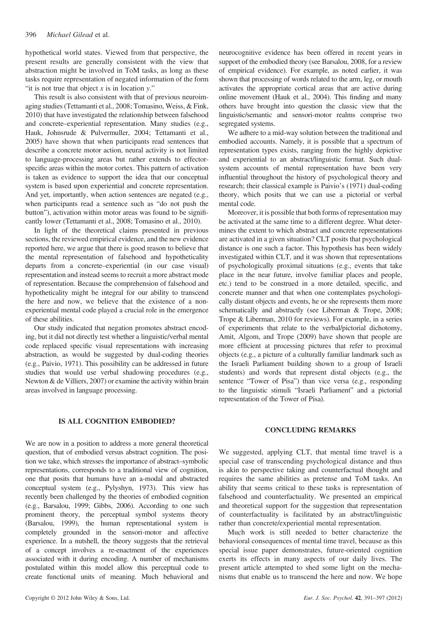hypothetical world states. Viewed from that perspective, the present results are generally consistent with the view that abstraction might be involved in ToM tasks, as long as these tasks require representation of negated information of the form "it is not true that object  $x$  is in location  $y$ ."

This result is also consistent with that of previous neuroimaging studies (Tettamanti et al., 2008; Tomasino, Weiss, & Fink, 2010) that have investigated the relationship between falsehood and concrete–experiential representation. Many studies (e.g., Hauk, Johnsrude & Pulvermuller, 2004; Tettamanti et al., 2005) have shown that when participants read sentences that describe a concrete motor action, neural activity is not limited to language-processing areas but rather extends to effectorspecific areas within the motor cortex. This pattern of activation is taken as evidence to support the idea that our conceptual system is based upon experiential and concrete representation. And yet, importantly, when action sentences are negated (e.g., when participants read a sentence such as "do not push the button"), activation within motor areas was found to be significantly lower (Tettamanti et al., 2008; Tomasino et al., 2010).

In light of the theoretical claims presented in previous sections, the reviewed empirical evidence, and the new evidence reported here, we argue that there is good reason to believe that the mental representation of falsehood and hypotheticality departs from a concrete–experiential (in our case visual) representation and instead seems to recruit a more abstract mode of representation. Because the comprehension of falsehood and hypotheticality might be integral for our ability to transcend the here and now, we believe that the existence of a nonexperiential mental code played a crucial role in the emergence of these abilities.

Our study indicated that negation promotes abstract encoding, but it did not directly test whether a linguistic/verbal mental code replaced specific visual representations with increasing abstraction, as would be suggested by dual-coding theories (e.g., Paivio, 1971). This possibility can be addressed in future studies that would use verbal shadowing procedures (e.g., Newton & de Villiers, 2007) or examine the activity within brain areas involved in language processing.

#### IS ALL COGNITION EMBODIED?

We are now in a position to address a more general theoretical question, that of embodied versus abstract cognition. The position we take, which stresses the importance of abstract–symbolic representations, corresponds to a traditional view of cognition, one that posits that humans have an a-modal and abstracted conceptual system (e.g., Pylyshyn, 1973). This view has recently been challenged by the theories of embodied cognition (e.g., Barsalou, 1999; Gibbs, 2006). According to one such prominent theory, the perceptual symbol systems theory (Barsalou, 1999), the human representational system is completely grounded in the sensori-motor and affective experience. In a nutshell, the theory suggests that the retrieval of a concept involves a re-enactment of the experiences associated with it during encoding. A number of mechanisms postulated within this model allow this perceptual code to create functional units of meaning. Much behavioral and

neurocognitive evidence has been offered in recent years in support of the embodied theory (see Barsalou, 2008, for a review of empirical evidence). For example, as noted earlier, it was shown that processing of words related to the arm, leg, or mouth activates the appropriate cortical areas that are active during online movement (Hauk et al., 2004). This finding and many others have brought into question the classic view that the linguistic/semantic and sensori-motor realms comprise two segregated systems.

We adhere to a mid-way solution between the traditional and embodied accounts. Namely, it is possible that a spectrum of representation types exists, ranging from the highly depictive and experiential to an abstract/linguistic format. Such dualsystem accounts of mental representation have been very influential throughout the history of psychological theory and research; their classical example is Paivio's (1971) dual-coding theory, which posits that we can use a pictorial or verbal mental code.

Moreover, it is possible that both forms of representation may be activated at the same time to a different degree. What determines the extent to which abstract and concrete representations are activated in a given situation? CLT posits that psychological distance is one such a factor. This hypothesis has been widely investigated within CLT, and it was shown that representations of psychologically proximal situations (e.g., events that take place in the near future, involve familiar places and people, etc.) tend to be construed in a more detailed, specific, and concrete manner and that when one contemplates psychologically distant objects and events, he or she represents them more schematically and abstractly (see Liberman & Trope, 2008; Trope & Liberman, 2010 for reviews). For example, in a series of experiments that relate to the verbal/pictorial dichotomy, Amit, Algom, and Trope (2009) have shown that people are more efficient at processing pictures that refer to proximal objects (e.g., a picture of a culturally familiar landmark such as the Israeli Parliament building shown to a group of Israeli students) and words that represent distal objects (e.g., the sentence "Tower of Pisa") than vice versa (e.g., responding to the linguistic stimuli "Israeli Parliament" and a pictorial representation of the Tower of Pisa).

#### CONCLUDING REMARKS

We suggested, applying CLT, that mental time travel is a special case of transcending psychological distance and thus is akin to perspective taking and counterfactual thought and requires the same abilities as pretense and ToM tasks. An ability that seems critical to these tasks is representation of falsehood and counterfactuality. We presented an empirical and theoretical support for the suggestion that representation of counterfactuality is facilitated by an abstract/linguistic rather than concrete/experiential mental representation.

Much work is still needed to better characterize the behavioral consequences of mental time travel, because as this special issue paper demonstrates, future-oriented cognition exerts its effects in many aspects of our daily lives. The present article attempted to shed some light on the mechanisms that enable us to transcend the here and now. We hope